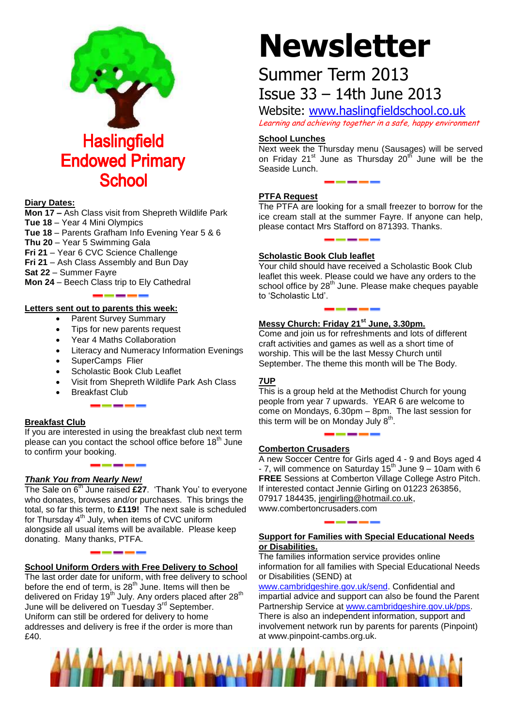

#### **Diary Dates:**

**Mon 17 –** Ash Class visit from Shepreth Wildlife Park **Tue 18** – Year 4 Mini Olympics

- **Tue 18**  Parents Grafham Info Evening Year 5 & 6
- **Thu 20**  Year 5 Swimming Gala

**Fri 21** – Year 6 CVC Science Challenge

**Fri 21** – Ash Class Assembly and Bun Day

**Sat 22** – Summer Fayre

**Mon 24** – Beech Class trip to Ely Cathedral

#### **Letters sent out to parents this week:**

- Parent Survey Summary
- Tips for new parents request
- Year 4 Maths Collaboration
- Literacy and Numeracy Information Evenings
- SuperCamps Flier
- Scholastic Book Club Leaflet
- Visit from Shepreth Wildlife Park Ash Class
- Breakfast Club

#### **Breakfast Club**

If you are interested in using the breakfast club next term please can you contact the school office before  $18<sup>th</sup>$  June to confirm your booking.

### *Thank You from Nearly New!*

The Sale on 6<sup>th</sup> June raised £27. 'Thank You' to everyone who donates, browses and/or purchases. This brings the total, so far this term, to **£119!** The next sale is scheduled for Thursday  $4^{th}$  July, when items of CVC uniform alongside all usual items will be available. Please keep donating. Many thanks, PTFA.

#### **School Uniform Orders with Free Delivery to School**

The last order date for uniform, with free delivery to school before the end of term, is 28<sup>th</sup> June. Items will then be delivered on Friday 19<sup>th</sup> July. Any orders placed after 28<sup>th</sup> June will be delivered on Tuesday 3<sup>rd</sup> September. Uniform can still be ordered for delivery to home addresses and delivery is free if the order is more than £40.

# **Newsletter**

# Summer Term 2013 Issue 33 – 14th June 2013

Website: [www.haslingfieldschool.co.uk](http://www.haslingfieldschool.co.uk/) Learning and achieving together in a safe, happy environment

#### **School Lunches**

Next week the Thursday menu (Sausages) will be served on Friday 21<sup>st</sup> June as Thursday 20<sup>th</sup> June will be the Seaside Lunch.

#### **PTFA Request**

The PTFA are looking for a small freezer to borrow for the ice cream stall at the summer Fayre. If anyone can help, please contact Mrs Stafford on 871393. Thanks.

#### **Scholastic Book Club leaflet**

Your child should have received a Scholastic Book Club leaflet this week. Please could we have any orders to the school office by 28<sup>th</sup> June. Please make cheques payable to 'Scholastic Ltd'.

#### **Messy Church: Friday 21st June, 3.30pm.**

Come and join us for refreshments and lots of different craft activities and games as well as a short time of worship. This will be the last Messy Church until September. The theme this month will be The Body.

#### **7UP**

This is a group held at the Methodist Church for young people from year 7 upwards. YEAR 6 are welcome to come on Mondays, 6.30pm – 8pm. The last session for this term will be on Monday July  $8<sup>th</sup>$ .

#### **Comberton Crusaders**

A new Soccer Centre for Girls aged 4 - 9 and Boys aged 4  $-7$ , will commence on Saturday  $15<sup>th</sup>$  June 9 – 10am with 6 **FREE** Sessions at Comberton Village College Astro Pitch. If interested contact Jennie Girling on 01223 263856, 07917 184435, [jengirling@hotmail.co.uk,](mailto:jengirling@hotmail.co.uk) www.combertoncrusaders.com

#### **Support for Families with Special Educational Needs or Disabilities.**

The families information service provides online information for all families with Special Educational Needs or Disabilities (SEND) at

[www.cambridgeshire.gov.uk/send.](http://www.cambridgeshire.gov.uk/send) Confidential and impartial advice and support can also be found the Parent Partnership Service at [www.cambridgeshire.gov.uk/pps.](http://www.cambridgeshire.gov.uk/pps) There is also an independent information, support and involvement network run by parents for parents (Pinpoint) at www.pinpoint-cambs.org.uk.